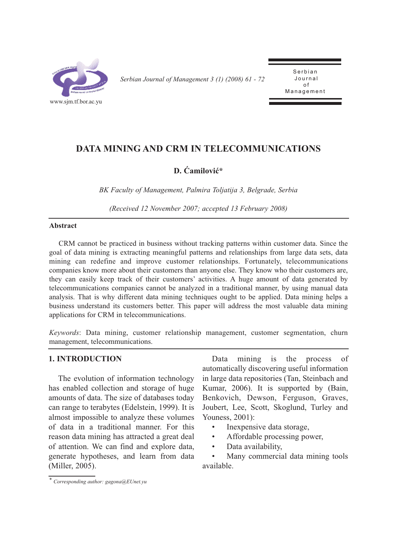

*Serbian Journal of Management 3 (1) (2008) 61 - 72* 

Serbian<br>Journal o f Management Management

# **DATA MINING AND CRM IN TELECOMMUNICATIONS**

## **D. Ćamilović\***

*BK Faculty of Management, Palmira Toljatija 3, Belgrade, Serbia*

*(Received 12 November 2007; accepted 13 February 2008)*

#### **Abstract**

CRM cannot be practiced in business without tracking patterns within customer data. Since the goal of data mining is extracting meaningful patterns and relationships from large data sets, data mining can redefine and improve customer relationships. Fortunately, telecommunications companies know more about their customers than anyone else. They know who their customers are, they can easily keep track of their customers' activities. A huge amount of data generated by telecommunications companies cannot be analyzed in a traditional manner, by using manual data analysis. That is why different data mining techniques ought to be applied. Data mining helps a business understand its customers better. This paper will address the most valuable data mining applications for CRM in telecommunications.

*Keywords*: Data mining, customer relationship management, customer segmentation, churn management, telecommunications.

### **1. INTRODUCTION**

The evolution of information technology has enabled collection and storage of huge amounts of data. The size of databases today can range to terabytes (Edelstein, 1999). It is almost impossible to analyze these volumes of data in a traditional manner. For this reason data mining has attracted a great deal of attention. We can find and explore data, generate hypotheses, and learn from data (Miller, 2005).

Data mining is the process of automatically discovering useful information in large data repositories (Tan, Steinbach and Kumar, 2006). It is supported by (Bain, Benkovich, Dewson, Ferguson, Graves, Joubert, Lee, Scott, Skoglund, Turley and Youness, 2001):

- Inexpensive data storage,
- Affordable processing power,
- Data availability,

Many commercial data mining tools available.

*<sup>\*</sup> Corresponding author: gagona@EUnet.yu*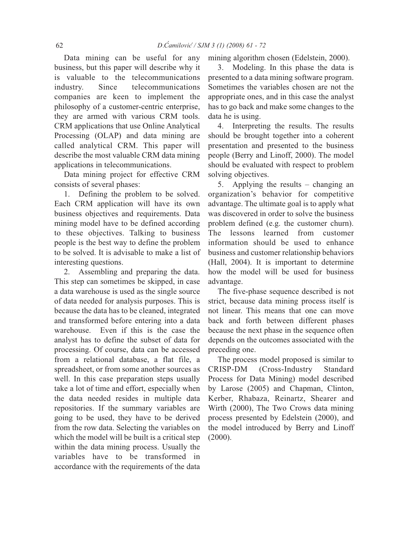Data mining can be useful for any business, but this paper will describe why it is valuable to the telecommunications industry. Since telecommunications companies are keen to implement the philosophy of a customer-centric enterprise, they are armed with various CRM tools. CRM applications that use Online Analytical Processing (OLAP) and data mining are called analytical CRM. This paper will describe the most valuable CRM data mining applications in telecommunications.

Data mining project for effective CRM consists of several phases:

1. Defining the problem to be solved. Each CRM application will have its own business objectives and requirements. Data mining model have to be defined according to these objectives. Talking to business people is the best way to define the problem to be solved. It is advisable to make a list of interesting questions.

2. Assembling and preparing the data. This step can sometimes be skipped, in case a data warehouse is used as the single source of data needed for analysis purposes. This is because the data has to be cleaned, integrated and transformed before entering into a data warehouse. Even if this is the case the analyst has to define the subset of data for processing. Of course, data can be accessed from a relational database, a flat file, a spreadsheet, or from some another sources as well. In this case preparation steps usually take a lot of time and effort, especially when the data needed resides in multiple data repositories. If the summary variables are going to be used, they have to be derived from the row data. Selecting the variables on which the model will be built is a critical step within the data mining process. Usually the variables have to be transformed in accordance with the requirements of the data mining algorithm chosen (Edelstein, 2000).

3. Modeling. In this phase the data is presented to a data mining software program. Sometimes the variables chosen are not the appropriate ones, and in this case the analyst has to go back and make some changes to the data he is using.

4. Interpreting the results. The results should be brought together into a coherent presentation and presented to the business people (Berry and Linoff, 2000). The model should be evaluated with respect to problem solving objectives.

5. Applying the results – changing an organization's behavior for competitive advantage. The ultimate goal is to apply what was discovered in order to solve the business problem defined (e.g. the customer churn). The lessons learned from customer information should be used to enhance business and customer relationship behaviors (Hall, 2004). It is important to determine how the model will be used for business advantage.

The five-phase sequence described is not strict, because data mining process itself is not linear. This means that one can move back and forth between different phases because the next phase in the sequence often depends on the outcomes associated with the preceding one.

The process model proposed is similar to CRISP-DM (Cross-Industry Standard Process for Data Mining) model described by Larose (2005) and Chapman, Clinton, Kerber, Rhabaza, Reinartz, Shearer and Wirth (2000), The Two Crows data mining process presented by Edelstein (2000), and the model introduced by Berry and Linoff (2000).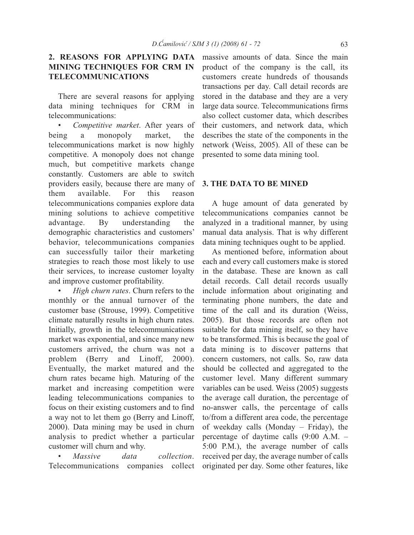## **2. REASONS FOR APPLYING DATA MINING TECHNIQUES FOR CRM IN TELECOMMUNICATIONS**

There are several reasons for applying data mining techniques for CRM in telecommunications:

• *Competitive market*. After years of being a monopoly market, the telecommunications market is now highly competitive. A monopoly does not change much, but competitive markets change constantly. Customers are able to switch providers easily, because there are many of them available. For this reason telecommunications companies explore data mining solutions to achieve competitive advantage. By understanding the demographic characteristics and customers' behavior, telecommunications companies can successfully tailor their marketing strategies to reach those most likely to use their services, to increase customer loyalty and improve customer profitability.

• *High churn rates*. Churn refers to the monthly or the annual turnover of the customer base (Strouse, 1999). Competitive climate naturally results in high churn rates. Initially, growth in the telecommunications market was exponential, and since many new customers arrived, the churn was not a problem (Berry and Linoff, 2000). Eventually, the market matured and the churn rates became high. Maturing of the market and increasing competition were leading telecommunications companies to focus on their existing customers and to find a way not to let them go (Berry and Linoff, 2000). Data mining may be used in churn analysis to predict whether a particular customer will churn and why.

• *Massive data collection*. Telecommunications companies collect

massive amounts of data. Since the main product of the company is the call, its customers create hundreds of thousands transactions per day. Call detail records are stored in the database and they are a very large data source. Telecommunications firms also collect customer data, which describes their customers, and network data, which describes the state of the components in the network (Weiss, 2005). All of these can be presented to some data mining tool.

#### **3. THE DATA TO BE MINED**

A huge amount of data generated by telecommunications companies cannot be analyzed in a traditional manner, by using manual data analysis. That is why different data mining techniques ought to be applied.

As mentioned before, information about each and every call customers make is stored in the database. These are known as call detail records. Call detail records usually include information about originating and terminating phone numbers, the date and time of the call and its duration (Weiss, 2005). But those records are often not suitable for data mining itself, so they have to be transformed. This is because the goal of data mining is to discover patterns that concern customers, not calls. So, raw data should be collected and aggregated to the customer level. Many different summary variables can be used. Weiss (2005) suggests the average call duration, the percentage of no-answer calls, the percentage of calls to/from a different area code, the percentage of weekday calls (Monday – Friday), the percentage of daytime calls (9:00 A.M. – 5:00 P.M.), the average number of calls received per day, the average number of calls originated per day. Some other features, like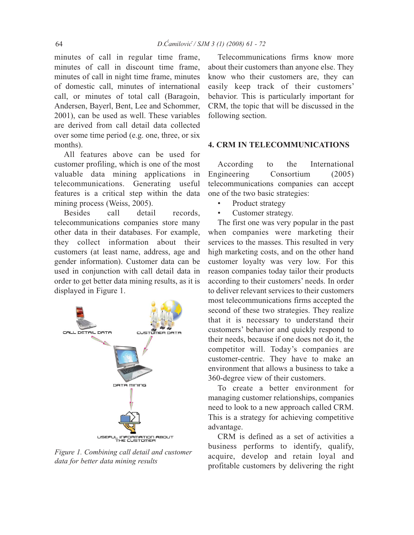minutes of call in regular time frame, minutes of call in discount time frame, minutes of call in night time frame, minutes of domestic call, minutes of international call, or minutes of total call (Baragoin, Andersen, Bayerl, Bent, Lee and Schommer, 2001), can be used as well. These variables are derived from call detail data collected over some time period (e.g. one, three, or six months).

All features above can be used for customer profiling, which is one of the most valuable data mining applications in telecommunications. Generating useful features is a critical step within the data mining process (Weiss, 2005).

Besides call detail records, telecommunications companies store many other data in their databases. For example, they collect information about their customers (at least name, address, age and gender information). Customer data can be used in conjunction with call detail data in order to get better data mining results, as it is displayed in Figure 1.



*Figure 1. Combining call detail and customer data for better data mining results*

Telecommunications firms know more about their customers than anyone else. They know who their customers are, they can easily keep track of their customers' behavior. This is particularly important for CRM, the topic that will be discussed in the following section.

### **4. CRM IN TELECOMMUNICATIONS**

According to the International Engineering Consortium (2005) telecommunications companies can accept one of the two basic strategies:

- Product strategy
- Customer strategy.

The first one was very popular in the past when companies were marketing their services to the masses. This resulted in very high marketing costs, and on the other hand customer loyalty was very low. For this reason companies today tailor their products according to their customers' needs. In order to deliver relevant services to their customers most telecommunications firms accepted the second of these two strategies. They realize that it is necessary to understand their customers' behavior and quickly respond to their needs, because if one does not do it, the competitor will. Today's companies are customer-centric. They have to make an environment that allows a business to take a 360-degree view of their customers.

To create a better environment for managing customer relationships, companies need to look to a new approach called CRM. This is a strategy for achieving competitive advantage.

CRM is defined as a set of activities a business performs to identify, qualify, acquire, develop and retain loyal and profitable customers by delivering the right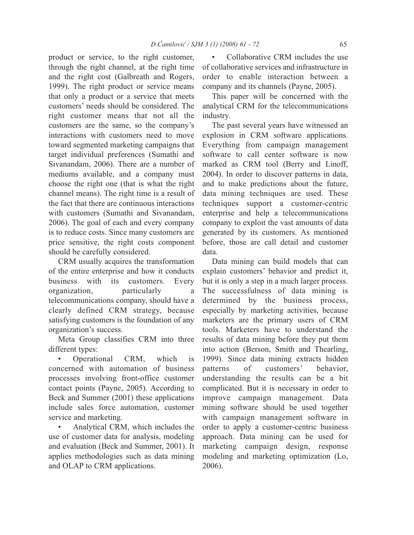product or service, to the right customer, through the right channel, at the right time and the right cost (Galbreath and Rogers, 1999). The right product or service means that only a product or a service that meets customers' needs should be considered. The right customer means that not all the customers are the same, so the company's interactions with customers need to move toward segmented marketing campaigns that target individual preferences (Sumathi and Sivanandam, 2006). There are a number of mediums available, and a company must choose the right one (that is what the right channel means). The right time is a result of the fact that there are continuous interactions with customers (Sumathi and Sivanandam, 2006). The goal of each and every company is to reduce costs. Since many customers are price sensitive, the right costs component should be carefully considered.

CRM usually acquires the transformation of the entire enterprise and how it conducts business with its customers. Every organization, particularly a telecommunications company, should have a clearly defined CRM strategy, because satisfying customers is the foundation of any organization's success.

Meta Group classifies CRM into three different types:

• Operational CRM, which is concerned with automation of business processes involving front-office customer contact points (Payne, 2005). According to Beck and Summer (2001) these applications include sales force automation, customer service and marketing.

• Analytical CRM, which includes the use of customer data for analysis, modeling and evaluation (Beck and Summer, 2001). It applies methodologies such as data mining and OLAP to CRM applications.

• Collaborative CRM includes the use of collaborative services and infrastructure in order to enable interaction between a company and its channels (Payne, 2005).

This paper will be concerned with the analytical CRM for the telecommunications industry.

The past several years have witnessed an explosion in CRM software applications. Everything from campaign management software to call center software is now marked as CRM tool (Berry and Linoff, 2004). In order to discover patterns in data, and to make predictions about the future, data mining techniques are used. These techniques support a customer-centric enterprise and help a telecommunications company to exploit the vast amounts of data generated by its customers. As mentioned before, those are call detail and customer data.

Data mining can build models that can explain customers' behavior and predict it, but it is only a step in a much larger process. The successfulness of data mining is determined by the business process, especially by marketing activities, because marketers are the primary users of CRM tools. Marketers have to understand the results of data mining before they put them into action (Berson, Smith and Thearling, 1999). Since data mining extracts hidden patterns of customers' behavior, understanding the results can be a bit complicated. But it is necessary in order to improve campaign management. Data mining software should be used together with campaign management software in order to apply a customer-centric business approach. Data mining can be used for marketing campaign design, response modeling and marketing optimization (Lo, 2006).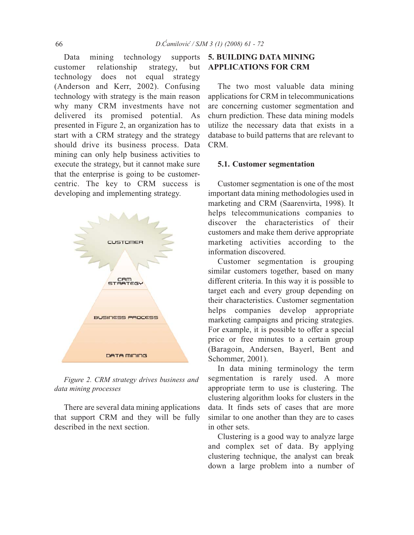Data mining technology supports customer relationship strategy, but technology does not equal strategy (Anderson and Kerr, 2002). Confusing technology with strategy is the main reason why many CRM investments have not delivered its promised potential. As presented in Figure 2, an organization has to start with a CRM strategy and the strategy should drive its business process. Data mining can only help business activities to execute the strategy, but it cannot make sure that the enterprise is going to be customercentric. The key to CRM success is developing and implementing strategy.



*Figure 2. CRM strategy drives business and data mining processes*

There are several data mining applications that support CRM and they will be fully described in the next section.

## **5. BUILDING DATA MINING APPLICATIONS FOR CRM**

The two most valuable data mining applications for CRM in telecommunications are concerning customer segmentation and churn prediction. These data mining models utilize the necessary data that exists in a database to build patterns that are relevant to CRM.

### **5.1. Customer segmentation**

Customer segmentation is one of the most important data mining methodologies used in marketing and CRM (Saarenvirta, 1998). It helps telecommunications companies to discover the characteristics of their customers and make them derive appropriate marketing activities according to the information discovered.

Customer segmentation is grouping similar customers together, based on many different criteria. In this way it is possible to target each and every group depending on their characteristics. Customer segmentation helps companies develop appropriate marketing campaigns and pricing strategies. For example, it is possible to offer a special price or free minutes to a certain group (Baragoin, Andersen, Bayerl, Bent and Schommer, 2001).

In data mining terminology the term segmentation is rarely used. A more appropriate term to use is clustering. The clustering algorithm looks for clusters in the data. It finds sets of cases that are more similar to one another than they are to cases in other sets.

Clustering is a good way to analyze large and complex set of data. By applying clustering technique, the analyst can break down a large problem into a number of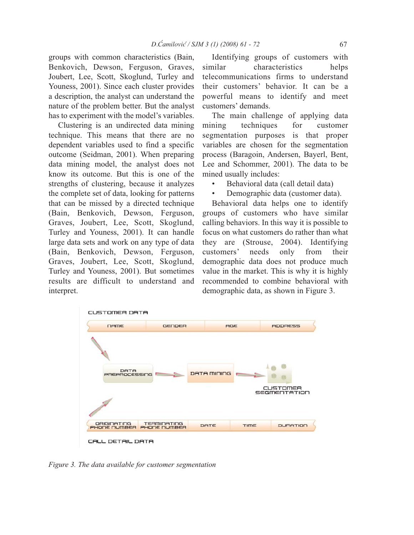groups with common characteristics (Bain, Benkovich, Dewson, Ferguson, Graves, Joubert, Lee, Scott, Skoglund, Turley and Youness, 2001). Since each cluster provides a description, the analyst can understand the nature of the problem better. But the analyst has to experiment with the model's variables.

Clustering is an undirected data mining technique. This means that there are no dependent variables used to find a specific outcome (Seidman, 2001). When preparing data mining model, the analyst does not know its outcome. But this is one of the strengths of clustering, because it analyzes the complete set of data, looking for patterns that can be missed by a directed technique (Bain, Benkovich, Dewson, Ferguson, Graves, Joubert, Lee, Scott, Skoglund, Turley and Youness, 2001). It can handle large data sets and work on any type of data (Bain, Benkovich, Dewson, Ferguson, Graves, Joubert, Lee, Scott, Skoglund, Turley and Youness, 2001). But sometimes results are difficult to understand and interpret.

Identifying groups of customers with similar characteristics helps telecommunications firms to understand their customers' behavior. It can be a powerful means to identify and meet customers' demands.

The main challenge of applying data mining techniques for customer segmentation purposes is that proper variables are chosen for the segmentation process (Baragoin, Andersen, Bayerl, Bent, Lee and Schommer, 2001). The data to be mined usually includes:

- Behavioral data (call detail data)
- Demographic data (customer data).

Behavioral data helps one to identify groups of customers who have similar calling behaviors. In this way it is possible to focus on what customers do rather than what they are (Strouse, 2004). Identifying customers' needs only from their demographic data does not produce much value in the market. This is why it is highly recommended to combine behavioral with demographic data, as shown in Figure 3.



*Figure 3. The data available for customer segmentation*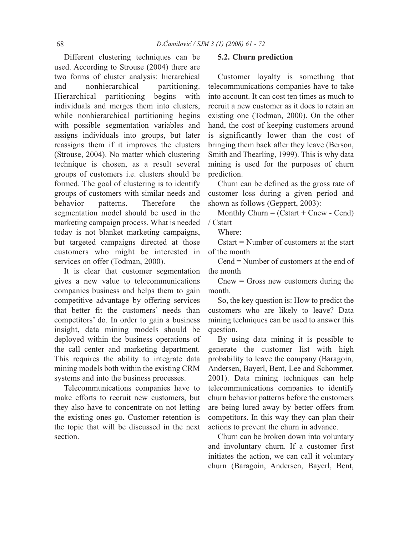Different clustering techniques can be used. According to Strouse (2004) there are two forms of cluster analysis: hierarchical and nonhierarchical partitioning. Hierarchical partitioning begins with individuals and merges them into clusters, while nonhierarchical partitioning begins with possible segmentation variables and assigns individuals into groups, but later reassigns them if it improves the clusters (Strouse, 2004). No matter which clustering technique is chosen, as a result several groups of customers i.e. clusters should be formed. The goal of clustering is to identify groups of customers with similar needs and behavior patterns. Therefore the segmentation model should be used in the marketing campaign process. What is needed today is not blanket marketing campaigns, but targeted campaigns directed at those customers who might be interested in services on offer (Todman, 2000).

It is clear that customer segmentation gives a new value to telecommunications companies business and helps them to gain competitive advantage by offering services that better fit the customers' needs than competitors' do. In order to gain a business insight, data mining models should be deployed within the business operations of the call center and marketing department. This requires the ability to integrate data mining models both within the existing CRM systems and into the business processes.

Telecommunications companies have to make efforts to recruit new customers, but they also have to concentrate on not letting the existing ones go. Customer retention is the topic that will be discussed in the next section.

#### **5.2. Churn prediction**

Customer loyalty is something that telecommunications companies have to take into account. It can cost ten times as much to recruit a new customer as it does to retain an existing one (Todman, 2000). On the other hand, the cost of keeping customers around is significantly lower than the cost of bringing them back after they leave (Berson, Smith and Thearling, 1999). This is why data mining is used for the purposes of churn prediction.

Churn can be defined as the gross rate of customer loss during a given period and shown as follows (Geppert, 2003):

Monthly Churn =  $(Cstart + Cnew - Cend)$ / Cstart

Where:

Cstart = Number of customers at the start of the month

Cend = Number of customers at the end of the month

 $C$ new = Gross new customers during the month.

So, the key question is: How to predict the customers who are likely to leave? Data mining techniques can be used to answer this question.

By using data mining it is possible to generate the customer list with high probability to leave the company (Baragoin, Andersen, Bayerl, Bent, Lee and Schommer, 2001). Data mining techniques can help telecommunications companies to identify churn behavior patterns before the customers are being lured away by better offers from competitors. In this way they can plan their actions to prevent the churn in advance.

Churn can be broken down into voluntary and involuntary churn. If a customer first initiates the action, we can call it voluntary churn (Baragoin, Andersen, Bayerl, Bent,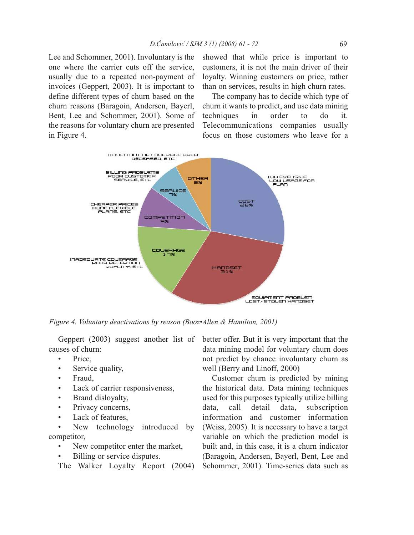Lee and Schommer, 2001). Involuntary is the one where the carrier cuts off the service, usually due to a repeated non-payment of invoices (Geppert, 2003). It is important to define different types of churn based on the churn reasons (Baragoin, Andersen, Bayerl, Bent, Lee and Schommer, 2001). Some of the reasons for voluntary churn are presented in Figure 4.

showed that while price is important to customers, it is not the main driver of their loyalty. Winning customers on price, rather than on services, results in high churn rates.

The company has to decide which type of churn it wants to predict, and use data mining techniques in order to do it. Telecommunications companies usually focus on those customers who leave for a



*Figure 4. Voluntary deactivations by reason (Booz•Allen & Hamilton, 2001)*

Geppert (2003) suggest another list of causes of churn:

- Price,
- Service quality,
- Fraud,
- Lack of carrier responsiveness,
- Brand disloyalty,
- Privacy concerns,
- Lack of features,

New technology introduced by competitor,

- New competitor enter the market,
- Billing or service disputes.

The Walker Loyalty Report (2004)

better offer. But it is very important that the data mining model for voluntary churn does not predict by chance involuntary churn as well (Berry and Linoff, 2000)

Customer churn is predicted by mining the historical data. Data mining techniques used for this purposes typically utilize billing data, call detail data, subscription information and customer information (Weiss, 2005). It is necessary to have a target variable on which the prediction model is built and, in this case, it is a churn indicator (Baragoin, Andersen, Bayerl, Bent, Lee and Schommer, 2001). Time-series data such as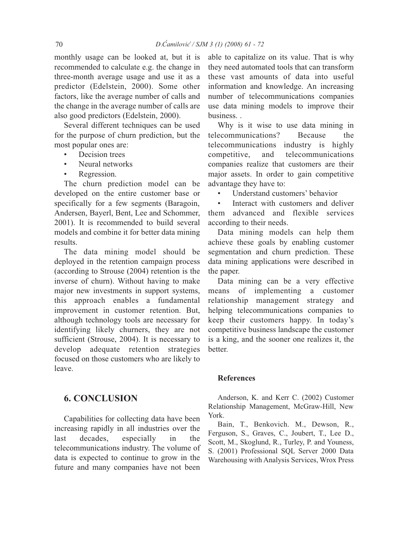monthly usage can be looked at, but it is recommended to calculate e.g. the change in three-month average usage and use it as a predictor (Edelstein, 2000). Some other factors, like the average number of calls and the change in the average number of calls are also good predictors (Edelstein, 2000).

Several different techniques can be used for the purpose of churn prediction, but the most popular ones are:

- Decision trees
- Neural networks
- Regression.

The churn prediction model can be developed on the entire customer base or specifically for a few segments (Baragoin, Andersen, Bayerl, Bent, Lee and Schommer, 2001). It is recommended to build several models and combine it for better data mining results.

The data mining model should be deployed in the retention campaign process (according to Strouse (2004) retention is the inverse of churn). Without having to make major new investments in support systems, this approach enables a fundamental improvement in customer retention. But, although technology tools are necessary for identifying likely churners, they are not sufficient (Strouse, 2004). It is necessary to develop adequate retention strategies focused on those customers who are likely to leave.

### **6. CONCLUSION**

Capabilities for collecting data have been increasing rapidly in all industries over the last decades, especially in the telecommunications industry. The volume of data is expected to continue to grow in the future and many companies have not been

able to capitalize on its value. That is why they need automated tools that can transform these vast amounts of data into useful information and knowledge. An increasing number of telecommunications companies use data mining models to improve their business. .

Why is it wise to use data mining in telecommunications? Because the telecommunications industry is highly competitive, and telecommunications companies realize that customers are their major assets. In order to gain competitive advantage they have to:

Understand customers' behavior

Interact with customers and deliver them advanced and flexible services according to their needs.

Data mining models can help them achieve these goals by enabling customer segmentation and churn prediction. These data mining applications were described in the paper.

Data mining can be a very effective means of implementing a customer relationship management strategy and helping telecommunications companies to keep their customers happy. In today's competitive business landscape the customer is a king, and the sooner one realizes it, the better.

### **References**

Anderson, K. and Kerr C. (2002) Customer Relationship Management, McGraw-Hill, New York.

Bain, T., Benkovich. M., Dewson, R., Ferguson, S., Graves, C., Joubert, T., Lee D., Scott, M., Skoglund, R., Turley, P. and Youness, S. (2001) Professional SQL Server 2000 Data Warehousing with Analysis Services, Wrox Press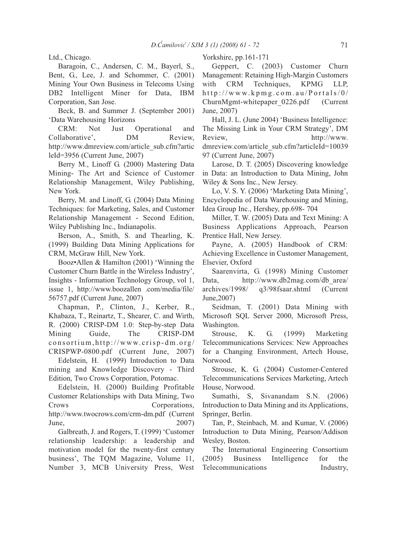Ltd., Chicago.

Baragoin, C., Andersen, C. M., Bayerl, S., Bent, G., Lee, J. and Schommer, C. (2001) Mining Your Own Business in Telecoms Using DB2 Intelligent Miner for Data, IBM Corporation, San Jose.

Beck, B. and Summer J. (September 2001) 'Data Warehousing Horizons

CRM: Not Just Operational and Collaborative', DM Review, http://www.dmreview.com/article\_sub.cfm?artic leId=3956 (Current June, 2007)

Berry M., Linoff G. (2000) Mastering Data Mining- The Art and Science of Customer Relationship Management, Wiley Publishing, New York.

Berry, M. and Linoff, G. (2004) Data Mining Techniques: for Marketing, Sales, and Customer Relationship Management - Second Edition, Wiley Publishing Inc., Indianapolis.

Berson, A., Smith, S. and Thearling, K. (1999) Building Data Mining Applications for CRM, McGraw Hill, New York.

Booz•Allen & Hamilton (2001) 'Winning the Customer Churn Battle in the Wireless Industry', Insights - Information Technology Group, vol 1, issue 1, http://www.boozallen .com/media/file/ 56757.pdf (Current June, 2007)

Chapman, P., Clinton, J., Kerber, R., Khabaza, T., Reinartz, T., Shearer, C. and Wirth, R. (2000) CRISP-DM 1.0: Step-by-step Data Mining Guide, The CRISP-DM consortium,http://www.crisp-dm.org/ CRISPWP-0800.pdf (Current June, 2007)

Edelstein, H. (1999) Introduction to Data mining and Knowledge Discovery - Third Edition, Two Crows Corporation, Potomac.

Edelstein, H. (2000) Building Profitable Customer Relationships with Data Mining, Two Crows Corporations, http://www.twocrows.com/crm-dm.pdf (Current June, 2007)

Galbreath, J. and Rogers, T. (1999) 'Customer relationship leadership: a leadership and motivation model for the twenty-first century business', The TQM Magazine, Volume 11, Number 3, MCB University Press, West Yorkshire, pp.161-171

Geppert, C. (2003) Customer Churn Management: Retaining High-Margin Customers with CRM Techniques, KPMG LLP, http://www.kpmg.com.au/Portals/0/ ChurnMgmt-whitepaper\_0226.pdf (Current June, 2007)

Hall, J. L. (June 2004) 'Business Intelligence: The Missing Link in Your CRM Strategy', DM Review, http://www. dmreview.com/article\_sub.cfm?articleId=10039 97 (Current June, 2007)

Larose, D. T. (2005) Discovering knowledge in Data: an Introduction to Data Mining, John Wiley & Sons Inc., New Jersey.

Lo, V. S. Y. (2006) 'Marketing Data Mining', Encyclopedia of Data Warehousing and Mining, Idea Group Inc., Hershey, pp.698- 704

Miller, T. W. (2005) Data and Text Mining: A Business Applications Approach, Pearson Prentice Hall, New Jersey.

Payne, A. (2005) Handbook of CRM: Achieving Excellence in Customer Management, Elsevier, Oxford

Saarenvirta, G. (1998) Mining Customer Data, http://www.db2mag.com/db\_area/ archives/1998/ q3/98fsaar.shtml (Current June,2007)

Seidman, T. (2001) Data Mining with Microsoft SQL Server 2000, Microsoft Press, Washington.

Strouse, K. G. (1999) Marketing Telecommunications Services: New Approaches for a Changing Environment, Artech House, Norwood.

Strouse, K. G. (2004) Customer-Centered Telecommunications Services Marketing, Artech House, Norwood.

Sumathi, S, Sivanandam S.N. (2006) Introduction to Data Mining and its Applications, Springer, Berlin.

Tan, P., Steinbach, M. and Kumar, V. (2006) Introduction to Data Mining, Pearson/Addison Wesley, Boston.

The International Engineering Consortium (2005) Business Intelligence for the Telecommunications Industry,